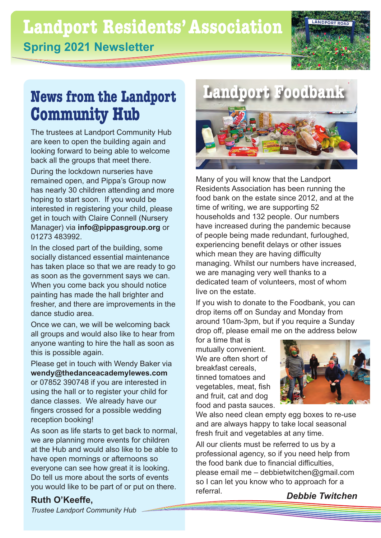### **Landport Residents'Association Spring 2021 Newsletter**



## **News from the Landport Community Hub**

The trustees at Landport Community Hub are keen to open the building again and looking forward to being able to welcome back all the groups that meet there.

During the lockdown nurseries have remained open, and Pippa's Group now has nearly 30 children attending and more hoping to start soon. If you would be interested in registering your child, please get in touch with Claire Connell (Nursery Manager) via **info@pippasgroup.org** or 01273 483992.

In the closed part of the building, some socially distanced essential maintenance has taken place so that we are ready to go as soon as the government says we can. When you come back you should notice painting has made the hall brighter and fresher, and there are improvements in the dance studio area.

Once we can, we will be welcoming back all groups and would also like to hear from anyone wanting to hire the hall as soon as this is possible again.

Please get in touch with Wendy Baker via **wendy@thedanceacademylewes.com** or 07852 390748 if you are interested in using the hall or to register your child for dance classes. We already have our fingers crossed for a possible wedding reception booking!

As soon as life starts to get back to normal, we are planning more events for children at the Hub and would also like to be able to have open mornings or afternoons so everyone can see how great it is looking. Do tell us more about the sorts of events you would like to be part of or put on there.



Many of you will know that the Landport Residents Association has been running the food bank on the estate since 2012, and at the time of writing, we are supporting 52 households and 132 people. Our numbers have increased during the pandemic because of people being made redundant, furloughed, experiencing benefit delays or other issues which mean they are having difficulty managing. Whilst our numbers have increased, we are managing very well thanks to a dedicated team of volunteers, most of whom live on the estate.

If you wish to donate to the Foodbank, you can drop items off on Sunday and Monday from around 10am-3pm, but if you require a Sunday drop off, please email me on the address below

for a time that is mutually convenient. We are often short of breakfast cereals, tinned tomatoes and vegetables, meat, fish and fruit, cat and dog food and pasta sauces.



We also need clean empty egg boxes to re-use and are always happy to take local seasonal fresh fruit and vegetables at any time.

All our clients must be referred to us by a professional agency, so if you need help from the food bank due to financial difficulties, please email me – debbietwitchen@gmail.com so I can let you know who to approach for a referral. *Debbie Twitchen*

**Ruth O'Keeffe,** 

*Trustee Landport Community Hub*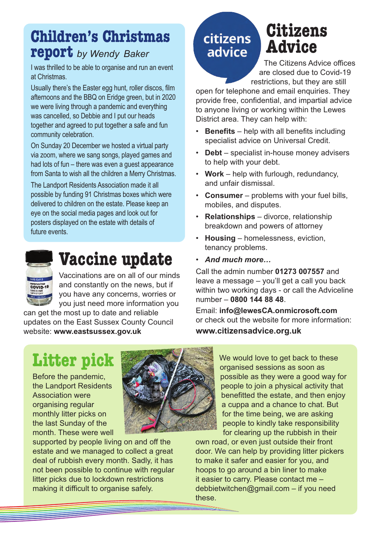### **Children's Christmas report** *by Wendy Baker*

I was thrilled to be able to organise and run an event at Christmas.

Usually there's the Easter egg hunt, roller discos, film afternoons and the BBQ on Eridge green, but in 2020 we were living through a pandemic and everything was cancelled, so Debbie and I put our heads together and agreed to put together a safe and fun community celebration.

On Sunday 20 December we hosted a virtual party via zoom, where we sang songs, played games and had lots of fun – there was even a guest appearance from Santa to wish all the children a Merry Christmas.

The Landport Residents Association made it all possible by funding 91 Christmas boxes which were delivered to children on the estate. Please keep an eye on the social media pages and look out for posters displayed on the estate with details of future events.



## **Vaccine update**

Vaccinations are on all of our minds and constantly on the news, but if you have any concerns, worries or you just need more information you

can get the most up to date and reliable updates on the East Sussex County Council website: **www.eastsussex.gov.uk**

### citizens advice

## **Citizens Advice**

The Citizens Advice offices are closed due to Covid-19 restrictions, but they are still

open for telephone and email enquiries. They provide free, confidential, and impartial advice to anyone living or working within the Lewes District area. They can help with:

- **Benefits** help with all benefits including specialist advice on Universal Credit.
- **Debt** specialist in-house money advisers to help with your debt.
- **Work** help with furlough, redundancy, and unfair dismissal.
- **Consumer** problems with your fuel bills, mobiles, and disputes.
- **Relationships** divorce, relationship breakdown and powers of attorney
- **Housing** homelessness, eviction, tenancy problems.
- *And much more…*

Call the admin number **01273 007557** and leave a message – you'll get a call you back within two working days - or call the Adviceline number – **0800 144 88 48**.

Email: **info@lewesCA.onmicrosoft.com** or check out the website for more information: **www.citizensadvice.org.uk**

## **Litter pick**

Before the pandemic, the Landport Residents Association were organising regular monthly litter picks on the last Sunday of the month. These were well



supported by people living on and off the estate and we managed to collect a great deal of rubbish every month. Sadly, it has not been possible to continue with regular litter picks due to lockdown restrictions making it difficult to organise safely.

We would love to get back to these organised sessions as soon as possible as they were a good way for people to join a physical activity that benefitted the estate, and then enjoy a cuppa and a chance to chat. But for the time being, we are asking people to kindly take responsibility for clearing up the rubbish in their

own road, or even just outside their front door. We can help by providing litter pickers to make it safer and easier for you, and hoops to go around a bin liner to make it easier to carry. Please contact me – debbietwitchen@gmail.com – if you need these.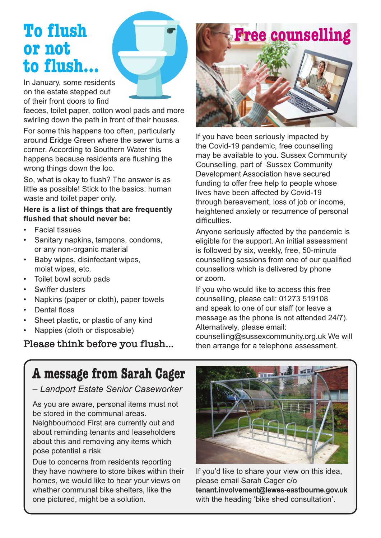## **To flush or not to flush…**

In January, some residents on the estate stepped out of their front doors to find

faeces, toilet paper, cotton wool pads and more swirling down the path in front of their houses.

For some this happens too often, particularly around Eridge Green where the sewer turns a corner. According to Southern Water this happens because residents are flushing the wrong things down the loo.

So, what is okay to flush? The answer is as little as possible! Stick to the basics: human waste and toilet paper only.

#### **Here is a list of things that are frequently flushed that should never be:**

- Facial tissues
- Sanitary napkins, tampons, condoms, or any non-organic material
- Baby wipes, disinfectant wipes, moist wipes, etc.
- Toilet bowl scrub pads
- Swiffer dusters
- Napkins (paper or cloth), paper towels
- Dental floss
- Sheet plastic, or plastic of any kind
- Nappies (cloth or disposable)

**Please think before you flush…**



If you have been seriously impacted by the Covid-19 pandemic, free counselling may be available to you. Sussex Community Counselling, part of Sussex Community Development Association have secured funding to offer free help to people whose lives have been affected by Covid-19 through bereavement, loss of job or income, heightened anxiety or recurrence of personal difficulties.

Anyone seriously affected by the pandemic is eligible for the support. An initial assessment is followed by six, weekly, free, 50-minute counselling sessions from one of our qualified counsellors which is delivered by phone or zoom.

If you who would like to access this free counselling, please call: 01273 519108 and speak to one of our staff (or leave a message as the phone is not attended 24/7). Alternatively, please email: counselling@sussexcommunity.org.uk We will then arrange for a telephone assessment.

### **A message from Sarah Cager**

*– Landport Estate Senior Caseworker* 

As you are aware, personal items must not be stored in the communal areas. Neighbourhood First are currently out and about reminding tenants and leaseholders about this and removing any items which pose potential a risk.

Due to concerns from residents reporting they have nowhere to store bikes within their homes, we would like to hear your views on whether communal bike shelters, like the one pictured, might be a solution.



If you'd like to share your view on this idea, please email Sarah Cager c/o **tenant.involvement@lewes-eastbourne.gov.uk** with the heading 'bike shed consultation'.